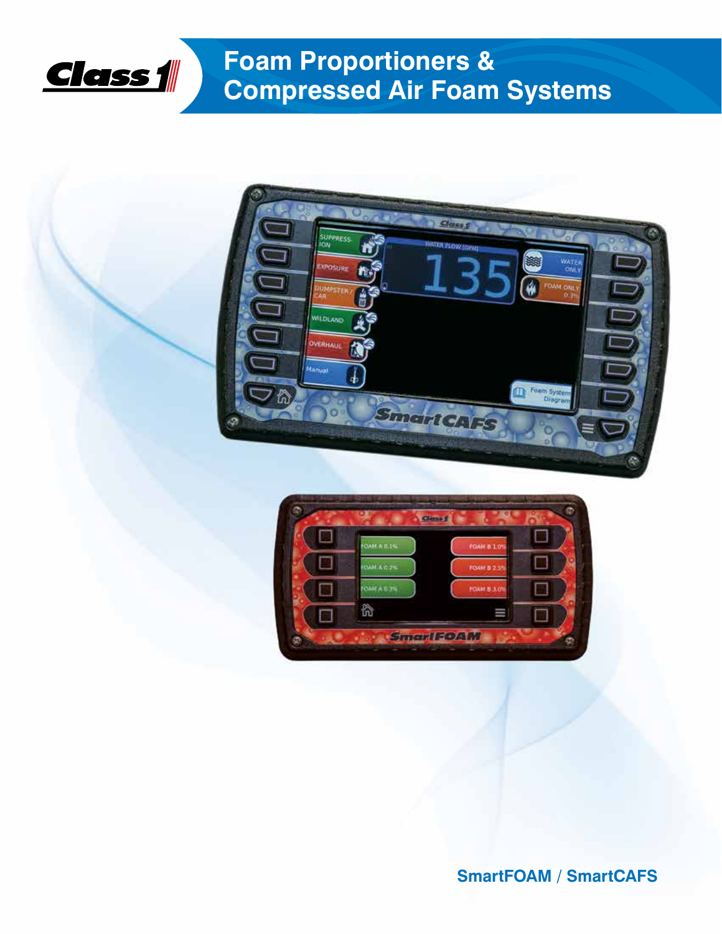

# **Foam Proportioners & Compressed Air Foam Systems**





**SmartFOAM / SmartCAFS**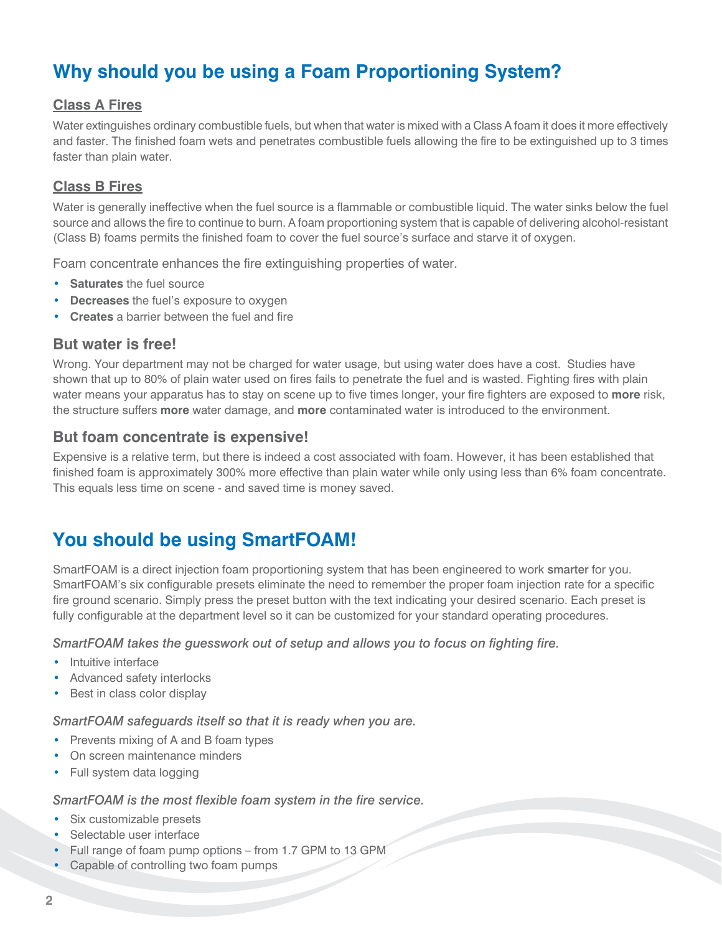## **Why should you be using a Foam Proportioning System?**

#### **Class A Fires**

Water extinguishes ordinary combustible fuels, but when that water is mixed with a Class A foam it does it more effectively and faster. The finished foam wets and penetrates combustible fuels allowing the fire to be extinguished up to 3 times faster than plain water.

#### **Class B Fires**

Water is generally ineffective when the fuel source is a flammable or combustible liquid. The water sinks below the fuel source and allows the fire to continue to burn. A foam proportioning system that is capable of delivering alcohol-resistant (Class B) foams permits the finished foam to cover the fuel source's surface and starve it of oxygen.

Foam concentrate enhances the fire extinguishing properties of water.

- **Saturates** the fuel source
- **Decreases** the fuel's exposure to oxygen
- **Creates** a barrier between the fuel and fire

#### **But water is free!**

Wrong. Your department may not be charged for water usage, but using water does have a cost. Studies have shown that up to 80% of plain water used on fires fails to penetrate the fuel and is wasted. Fighting fires with plain water means your apparatus has to stay on scene up to five times longer, your fire fighters are exposed to **more** risk, the structure suffers **more** water damage, and **more** contaminated water is introduced to the environment.

#### **But foam concentrate is expensive!**

Expensive is a relative term, but there is indeed a cost associated with foam. However, it has been established that finished foam is approximately 300% more effective than plain water while only using less than 6% foam concentrate. This equals less time on scene - and saved time is money saved.

## **You should be using SmartFOAM!**

SmartFOAM is a direct injection foam proportioning system that has been engineered to work smarter for you. SmartFOAM's six configurable presets eliminate the need to remember the proper foam injection rate for a specific fire ground scenario. Simply press the preset button with the text indicating your desired scenario. Each preset is fully configurable at the department level so it can be customized for your standard operating procedures.

*SmartFOAM takes the guesswork out of setup and allows you to focus on fighting fire.*

- Intuitive interface
- Advanced safety interlocks
- Best in class color display

#### *SmartFOAM safeguards itself so that it is ready when you are.*

- Prevents mixing of A and B foam types
- On screen maintenance minders
- Full system data logging

#### *SmartFOAM is the most flexible foam system in the fire service.*

- Six customizable presets
- Selectable user interface
- Full range of foam pump options from 1.7 GPM to 13 GPM
- Capable of controlling two foam pumps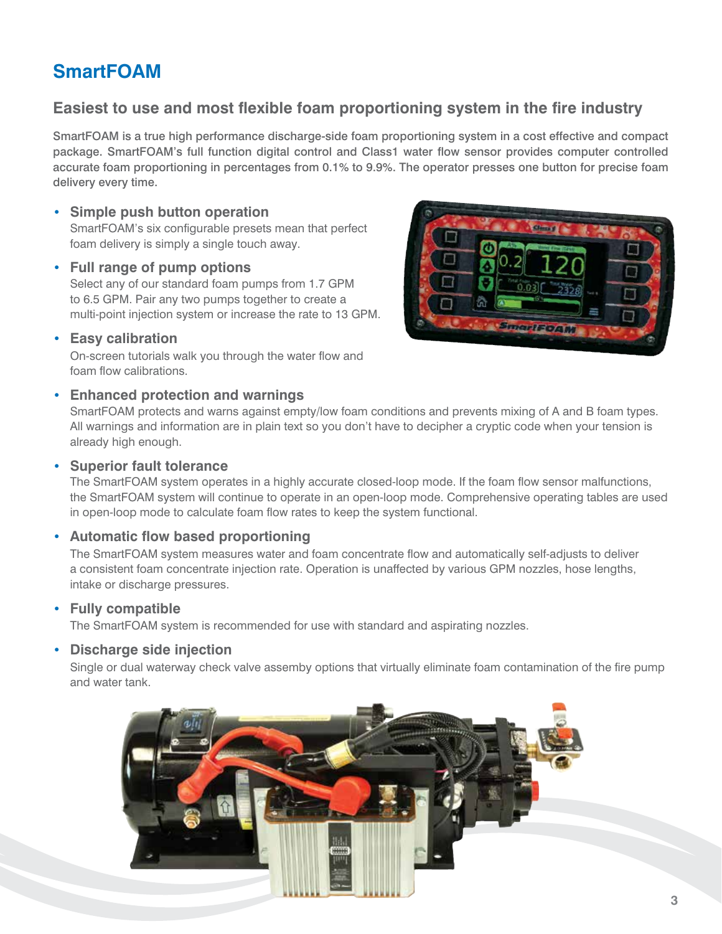## **SmartFOAM**

### **Easiest to use and most flexible foam proportioning system in the fire industry**

SmartFOAM is a true high performance discharge-side foam proportioning system in a cost effective and compact package. SmartFOAM's full function digital control and Class1 water flow sensor provides computer controlled accurate foam proportioning in percentages from 0.1% to 9.9%. The operator presses one button for precise foam delivery every time.

#### • **Simple push button operation**

SmartFOAM's six configurable presets mean that perfect foam delivery is simply a single touch away.

#### • **Full range of pump options**

Select any of our standard foam pumps from 1.7 GPM to 6.5 GPM. Pair any two pumps together to create a multi-point injection system or increase the rate to 13 GPM.

#### • **Easy calibration**

On-screen tutorials walk you through the water flow and foam flow calibrations.

#### • **Enhanced protection and warnings**

SmartFOAM protects and warns against empty/low foam conditions and prevents mixing of A and B foam types. All warnings and information are in plain text so you don't have to decipher a cryptic code when your tension is already high enough.

#### • **Superior fault tolerance**

The SmartFOAM system operates in a highly accurate closed-loop mode. If the foam flow sensor malfunctions, the SmartFOAM system will continue to operate in an open-loop mode. Comprehensive operating tables are used in open-loop mode to calculate foam flow rates to keep the system functional.

#### • **Automatic flow based proportioning**

The SmartFOAM system measures water and foam concentrate flow and automatically self-adjusts to deliver a consistent foam concentrate injection rate. Operation is unaffected by various GPM nozzles, hose lengths, intake or discharge pressures.

#### • **Fully compatible**

The SmartFOAM system is recommended for use with standard and aspirating nozzles.

#### • **Discharge side injection**

Single or dual waterway check valve assemby options that virtually eliminate foam contamination of the fire pump and water tank.



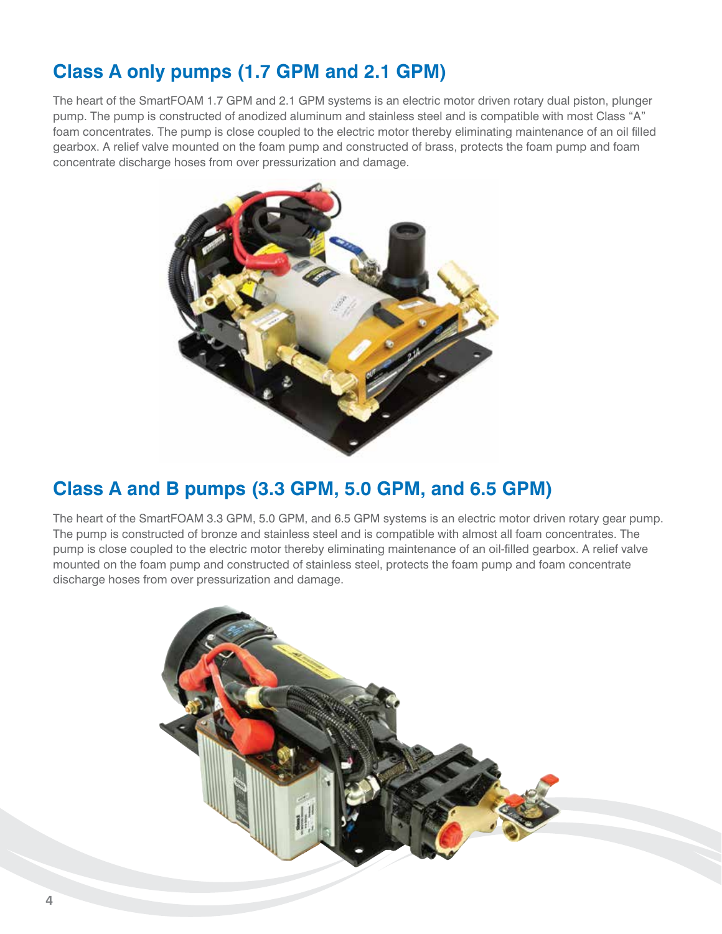## **Class A only pumps (1.7 GPM and 2.1 GPM)**

The heart of the SmartFOAM 1.7 GPM and 2.1 GPM systems is an electric motor driven rotary dual piston, plunger pump. The pump is constructed of anodized aluminum and stainless steel and is compatible with most Class "A" foam concentrates. The pump is close coupled to the electric motor thereby eliminating maintenance of an oil filled gearbox. A relief valve mounted on the foam pump and constructed of brass, protects the foam pump and foam concentrate discharge hoses from over pressurization and damage.



## **Class A and B pumps (3.3 GPM, 5.0 GPM, and 6.5 GPM)**

The heart of the SmartFOAM 3.3 GPM, 5.0 GPM, and 6.5 GPM systems is an electric motor driven rotary gear pump. The pump is constructed of bronze and stainless steel and is compatible with almost all foam concentrates. The pump is close coupled to the electric motor thereby eliminating maintenance of an oil-filled gearbox. A relief valve mounted on the foam pump and constructed of stainless steel, protects the foam pump and foam concentrate discharge hoses from over pressurization and damage.

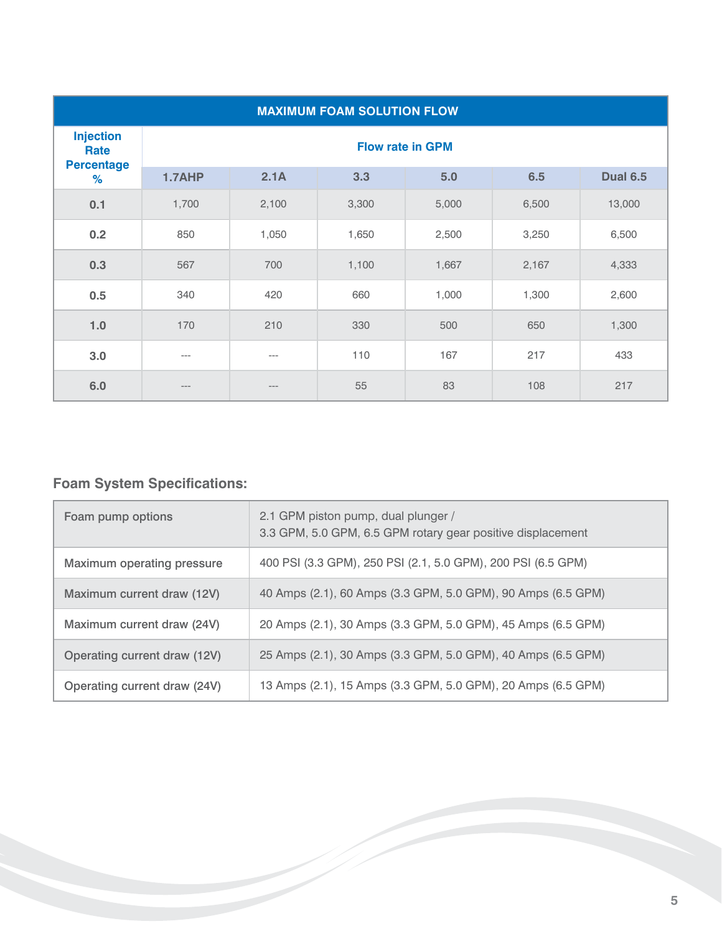| <b>MAXIMUM FOAM SOLUTION FLOW</b>             |                         |         |       |       |       |                 |
|-----------------------------------------------|-------------------------|---------|-------|-------|-------|-----------------|
| <b>Injection</b><br>Rate<br><b>Percentage</b> | <b>Flow rate in GPM</b> |         |       |       |       |                 |
| %                                             | 1.7AHP                  | 2.1A    | 3.3   | 5.0   | 6.5   | <b>Dual 6.5</b> |
| 0.1                                           | 1,700                   | 2,100   | 3,300 | 5,000 | 6,500 | 13,000          |
| 0.2                                           | 850                     | 1,050   | 1,650 | 2,500 | 3,250 | 6,500           |
| 0.3                                           | 567                     | 700     | 1,100 | 1,667 | 2,167 | 4,333           |
| 0.5                                           | 340                     | 420     | 660   | 1,000 | 1,300 | 2,600           |
| 1.0                                           | 170                     | 210     | 330   | 500   | 650   | 1,300           |
| 3.0                                           | ---                     | $---$   | 110   | 167   | 217   | 433             |
| 6.0                                           | ---                     | $- - -$ | 55    | 83    | 108   | 217             |

## **Foam System Specifications:**

| Foam pump options            | 2.1 GPM piston pump, dual plunger /<br>3.3 GPM, 5.0 GPM, 6.5 GPM rotary gear positive displacement |
|------------------------------|----------------------------------------------------------------------------------------------------|
| Maximum operating pressure   | 400 PSI (3.3 GPM), 250 PSI (2.1, 5.0 GPM), 200 PSI (6.5 GPM)                                       |
| Maximum current draw (12V)   | 40 Amps (2.1), 60 Amps (3.3 GPM, 5.0 GPM), 90 Amps (6.5 GPM)                                       |
| Maximum current draw (24V)   | 20 Amps (2.1), 30 Amps (3.3 GPM, 5.0 GPM), 45 Amps (6.5 GPM)                                       |
| Operating current draw (12V) | 25 Amps (2.1), 30 Amps (3.3 GPM, 5.0 GPM), 40 Amps (6.5 GPM)                                       |
| Operating current draw (24V) | 13 Amps (2.1), 15 Amps (3.3 GPM, 5.0 GPM), 20 Amps (6.5 GPM)                                       |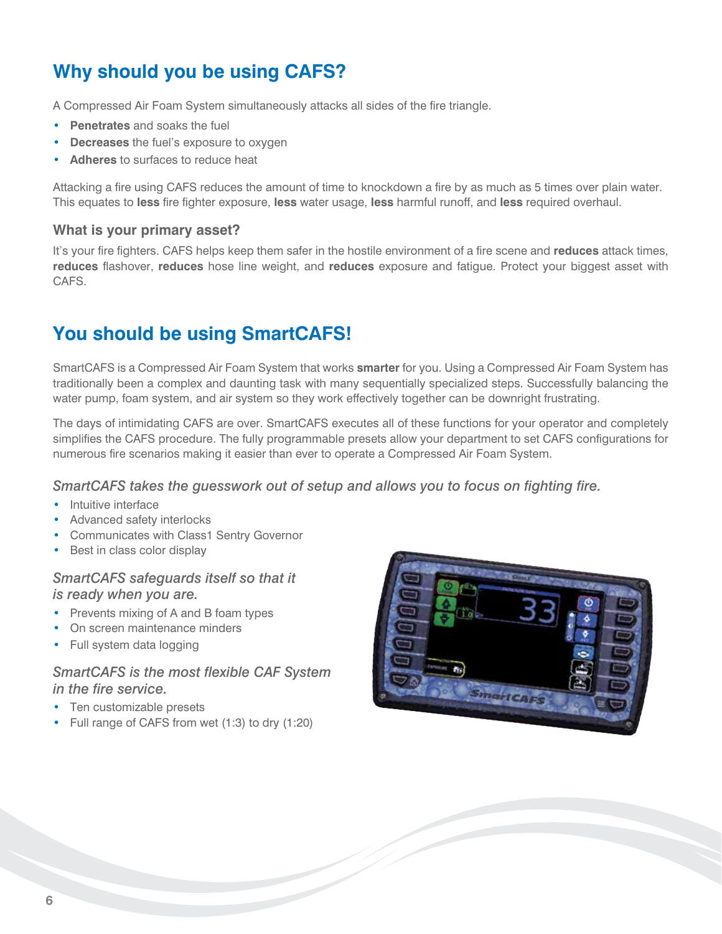## **Why should you be using CAFS?**

A Compressed Air Foam System simultaneously attacks all sides of the fire triangle.

- **Penetrates** and soaks the fuel
- **Decreases** the fuel's exposure to oxygen
- **Adheres** to surfaces to reduce heat

Attacking a fire using CAFS reduces the amount of time to knockdown a fire by as much as 5 times over plain water. This equates to **less** fire fighter exposure, **less** water usage, **less** harmful runoff, and **less** required overhaul.

#### **What is your primary asset?**

It's your fire fighters. CAFS helps keep them safer in the hostile environment of a fire scene and **reduces** attack times, **reduces** flashover, **reduces** hose line weight, and **reduces** exposure and fatigue. Protect your biggest asset with CAFS.

## **You should be using SmartCAFS!**

SmartCAFS is a Compressed Air Foam System that works **smarter** for you. Using a Compressed Air Foam System has traditionally been a complex and daunting task with many sequentially specialized steps. Successfully balancing the water pump, foam system, and air system so they work effectively together can be downright frustrating.

The days of intimidating CAFS are over. SmartCAFS executes all of these functions for your operator and completely simplifies the CAFS procedure. The fully programmable presets allow your department to set CAFS configurations for numerous fire scenarios making it easier than ever to operate a Compressed Air Foam System.

#### *SmartCAFS takes the guesswork out of setup and allows you to focus on fighting fire.*

- Intuitive interface
- Advanced safety interlocks
- Communicates with Class1 Sentry Governor
- Best in class color display

#### *SmartCAFS safeguards itself so that it is ready when you are.*

- Prevents mixing of A and B foam types
- On screen maintenance minders
- Full system data logging

#### *SmartCAFS is the most flexible CAF System in the fire service.*

- Ten customizable presets
- Full range of CAFS from wet (1:3) to dry (1:20)

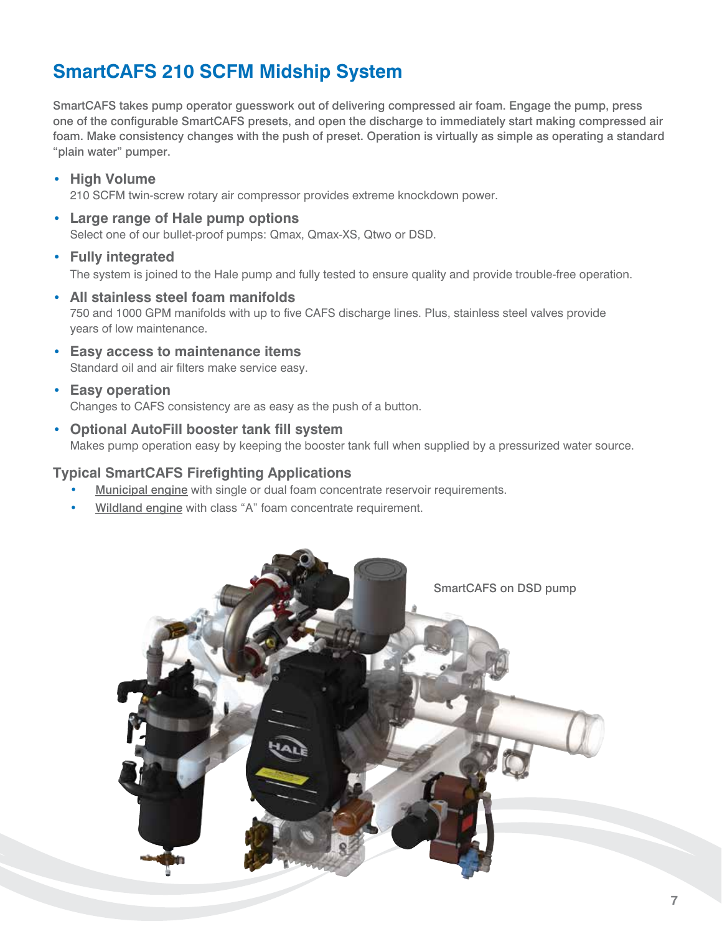## **SmartCAFS 210 SCFM Midship System**

SmartCAFS takes pump operator guesswork out of delivering compressed air foam. Engage the pump, press one of the configurable SmartCAFS presets, and open the discharge to immediately start making compressed air foam. Make consistency changes with the push of preset. Operation is virtually as simple as operating a standard "plain water" pumper.

• **High Volume**

210 SCFM twin-screw rotary air compressor provides extreme knockdown power.

• **Large range of Hale pump options** Select one of our bullet-proof pumps: Qmax, Qmax-XS, Qtwo or DSD.

#### • **Fully integrated** The system is joined to the Hale pump and fully tested to ensure quality and provide trouble-free operation.

- **All stainless steel foam manifolds** 750 and 1000 GPM manifolds with up to five CAFS discharge lines. Plus, stainless steel valves provide years of low maintenance.
- **Easy access to maintenance items** Standard oil and air filters make service easy.
- **Easy operation** Changes to CAFS consistency are as easy as the push of a button.
- **Optional AutoFill booster tank fill system** Makes pump operation easy by keeping the booster tank full when supplied by a pressurized water source.

#### **Typical SmartCAFS Firefighting Applications**

- Municipal engine with single or dual foam concentrate reservoir requirements.
- Wildland engine with class "A" foam concentrate requirement.

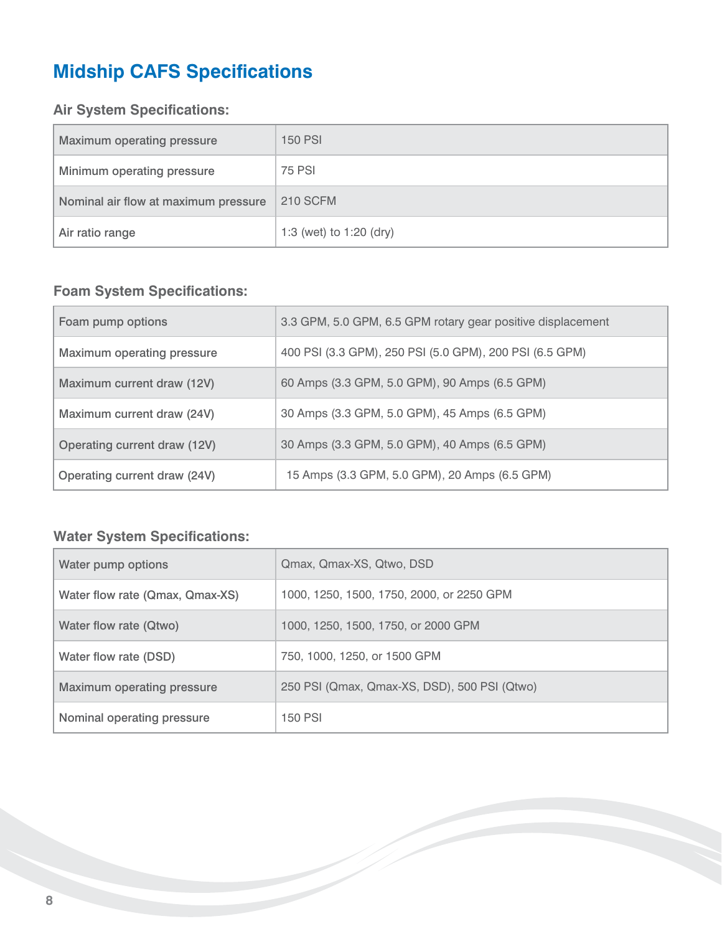# **Midship CAFS Specifications**

### **Air System Specifications:**

| Maximum operating pressure           | <b>150 PSI</b>          |
|--------------------------------------|-------------------------|
| Minimum operating pressure           | <b>75 PSI</b>           |
| Nominal air flow at maximum pressure | <b>210 SCFM</b>         |
| Air ratio range                      | 1:3 (wet) to 1:20 (dry) |

### **Foam System Specifications:**

| Foam pump options            | 3.3 GPM, 5.0 GPM, 6.5 GPM rotary gear positive displacement |
|------------------------------|-------------------------------------------------------------|
| Maximum operating pressure   | 400 PSI (3.3 GPM), 250 PSI (5.0 GPM), 200 PSI (6.5 GPM)     |
| Maximum current draw (12V)   | 60 Amps (3.3 GPM, 5.0 GPM), 90 Amps (6.5 GPM)               |
| Maximum current draw (24V)   | 30 Amps (3.3 GPM, 5.0 GPM), 45 Amps (6.5 GPM)               |
| Operating current draw (12V) | 30 Amps (3.3 GPM, 5.0 GPM), 40 Amps (6.5 GPM)               |
| Operating current draw (24V) | 15 Amps (3.3 GPM, 5.0 GPM), 20 Amps (6.5 GPM)               |

### **Water System Specifications:**

| Water pump options              | Qmax, Qmax-XS, Qtwo, DSD                     |
|---------------------------------|----------------------------------------------|
| Water flow rate (Qmax, Qmax-XS) | 1000, 1250, 1500, 1750, 2000, or 2250 GPM    |
| Water flow rate (Qtwo)          | 1000, 1250, 1500, 1750, or 2000 GPM          |
| Water flow rate (DSD)           | 750, 1000, 1250, or 1500 GPM                 |
| Maximum operating pressure      | 250 PSI (Qmax, Qmax-XS, DSD), 500 PSI (Qtwo) |
| Nominal operating pressure      | <b>150 PSI</b>                               |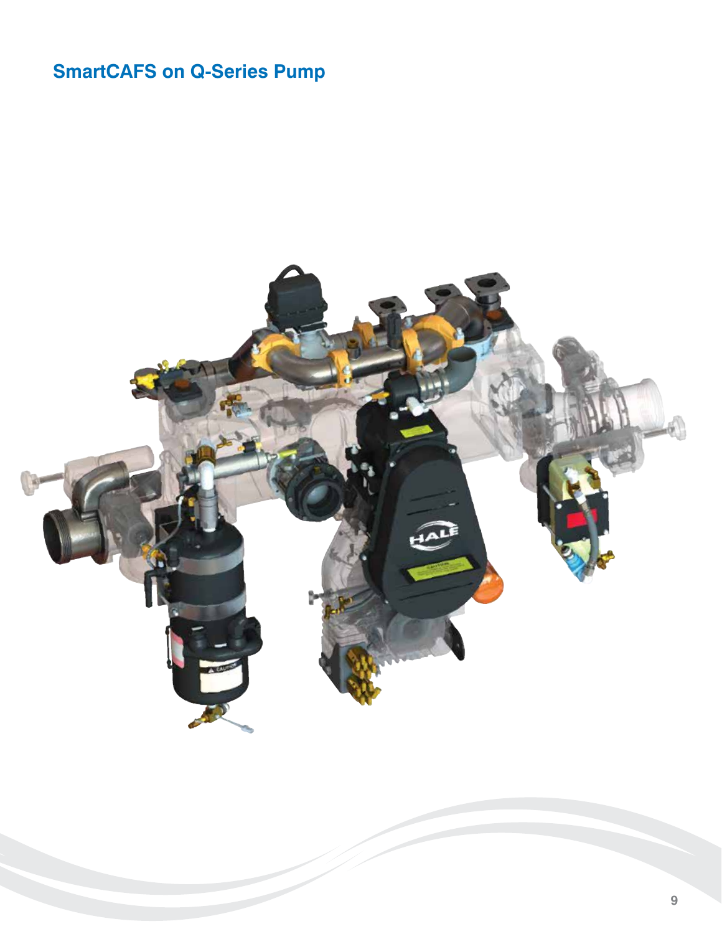# **SmartCAFS on Q-Series Pump**

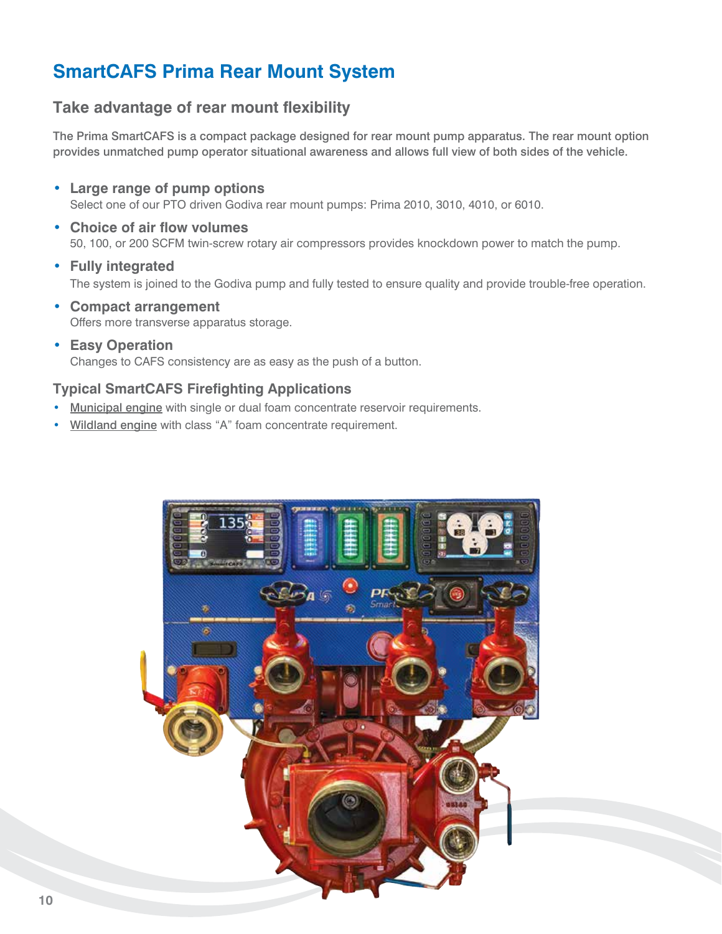## **SmartCAFS Prima Rear Mount System**

### **Take advantage of rear mount flexibility**

The Prima SmartCAFS is a compact package designed for rear mount pump apparatus. The rear mount option provides unmatched pump operator situational awareness and allows full view of both sides of the vehicle.

- **Large range of pump options** Select one of our PTO driven Godiva rear mount pumps: Prima 2010, 3010, 4010, or 6010.
- **Choice of air flow volumes** 50, 100, or 200 SCFM twin-screw rotary air compressors provides knockdown power to match the pump.
- **Fully integrated** The system is joined to the Godiva pump and fully tested to ensure quality and provide trouble-free operation.
- **Compact arrangement** Offers more transverse apparatus storage.
- **Easy Operation** Changes to CAFS consistency are as easy as the push of a button.

#### **Typical SmartCAFS Firefighting Applications**

- Municipal engine with single or dual foam concentrate reservoir requirements.
- Wildland engine with class "A" foam concentrate requirement.

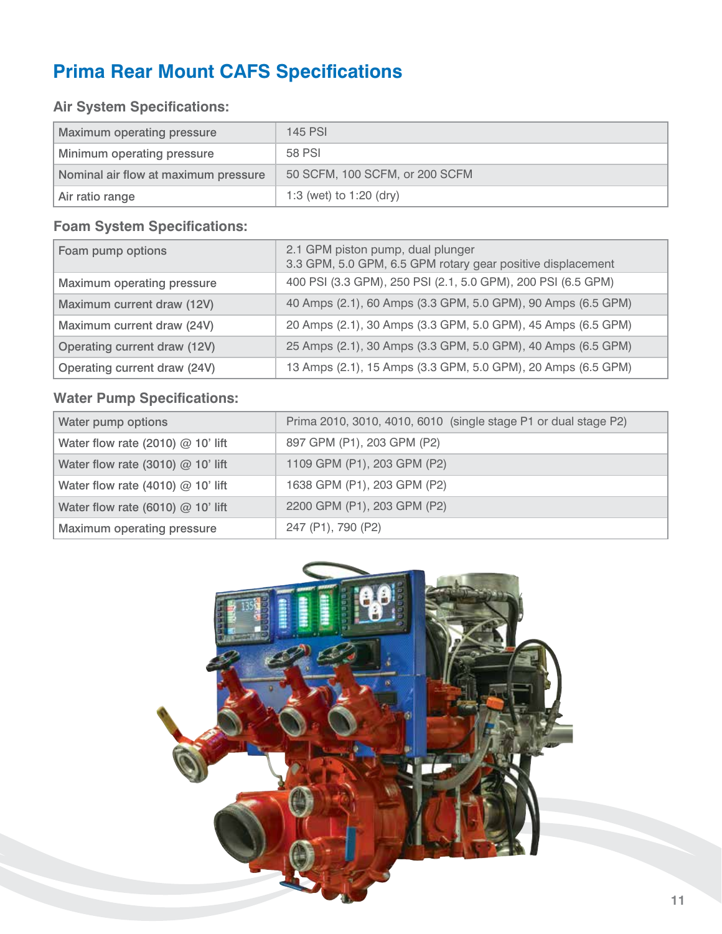## **Prima Rear Mount CAFS Specifications**

### **Air System Specifications:**

| <b>Maximum operating pressure</b>    | <b>145 PSI</b>                 |
|--------------------------------------|--------------------------------|
| Minimum operating pressure           | 58 PSI                         |
| Nominal air flow at maximum pressure | 50 SCFM, 100 SCFM, or 200 SCFM |
| Air ratio range                      | 1:3 (wet) to 1:20 (dry)        |

### **Foam System Specifications:**

| Foam pump options            | 2.1 GPM piston pump, dual plunger<br>3.3 GPM, 5.0 GPM, 6.5 GPM rotary gear positive displacement |
|------------------------------|--------------------------------------------------------------------------------------------------|
| Maximum operating pressure   | 400 PSI (3.3 GPM), 250 PSI (2.1, 5.0 GPM), 200 PSI (6.5 GPM)                                     |
| Maximum current draw (12V)   | 40 Amps (2.1), 60 Amps (3.3 GPM, 5.0 GPM), 90 Amps (6.5 GPM)                                     |
| Maximum current draw (24V)   | 20 Amps (2.1), 30 Amps (3.3 GPM, 5.0 GPM), 45 Amps (6.5 GPM)                                     |
| Operating current draw (12V) | 25 Amps (2.1), 30 Amps (3.3 GPM, 5.0 GPM), 40 Amps (6.5 GPM)                                     |
| Operating current draw (24V) | 13 Amps (2.1), 15 Amps (3.3 GPM, 5.0 GPM), 20 Amps (6.5 GPM)                                     |

### **Water Pump Specifications:**

| Water pump options                  | Prima 2010, 3010, 4010, 6010 (single stage P1 or dual stage P2) |
|-------------------------------------|-----------------------------------------------------------------|
| Water flow rate (2010) $@$ 10' lift | 897 GPM (P1), 203 GPM (P2)                                      |
| Water flow rate (3010) $@$ 10' lift | 1109 GPM (P1), 203 GPM (P2)                                     |
| Water flow rate (4010) $@$ 10' lift | 1638 GPM (P1), 203 GPM (P2)                                     |
| Water flow rate (6010) $@$ 10' lift | 2200 GPM (P1), 203 GPM (P2)                                     |
| Maximum operating pressure          | 247 (P1), 790 (P2)                                              |

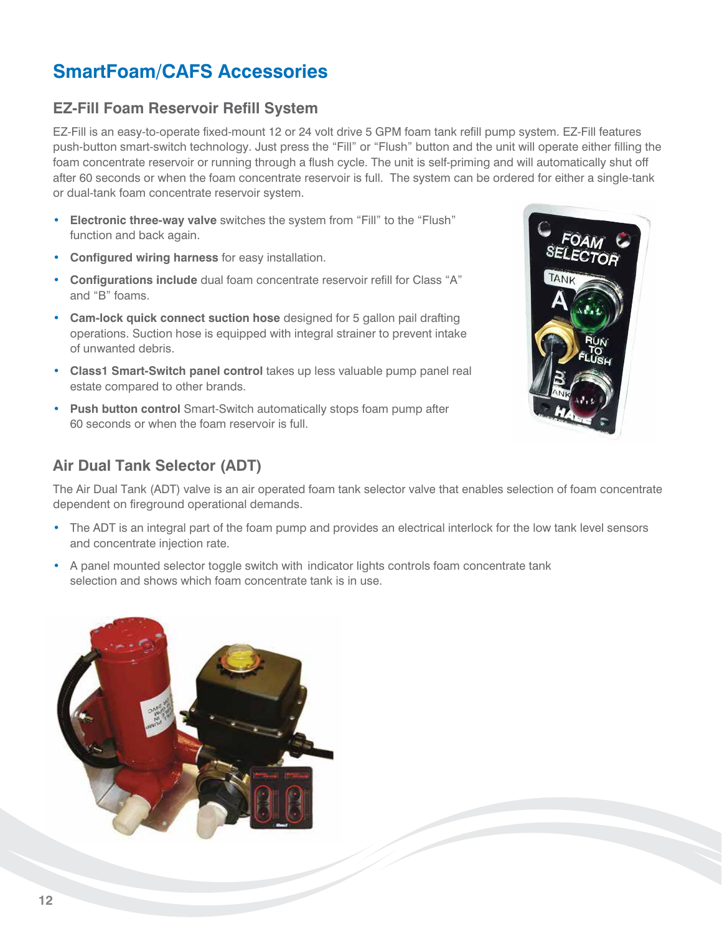## **SmartFoam/CAFS Accessories**

## **EZ-Fill Foam Reservoir Refill System**

EZ-Fill is an easy-to-operate fixed-mount 12 or 24 volt drive 5 GPM foam tank refill pump system. EZ-Fill features push-button smart-switch technology. Just press the "Fill" or "Flush" button and the unit will operate either filling the foam concentrate reservoir or running through a flush cycle. The unit is self-priming and will automatically shut off after 60 seconds or when the foam concentrate reservoir is full. The system can be ordered for either a single-tank or dual-tank foam concentrate reservoir system.

- **Electronic three-way valve** switches the system from "Fill" to the "Flush" function and back again.
- **Configured wiring harness** for easy installation.
- **Configurations include** dual foam concentrate reservoir refill for Class "A" and "B" foams.
- **Cam-lock quick connect suction hose** designed for 5 gallon pail drafting operations. Suction hose is equipped with integral strainer to prevent intake of unwanted debris.
- **Class1 Smart-Switch panel control** takes up less valuable pump panel real estate compared to other brands.
- **Push button control** Smart-Switch automatically stops foam pump after 60 seconds or when the foam reservoir is full.

### **Air Dual Tank Selector (ADT)**

The Air Dual Tank (ADT) valve is an air operated foam tank selector valve that enables selection of foam concentrate dependent on fireground operational demands.

- The ADT is an integral part of the foam pump and provides an electrical interlock for the low tank level sensors and concentrate injection rate.
- A panel mounted selector toggle switch with indicator lights controls foam concentrate tank selection and shows which foam concentrate tank is in use.

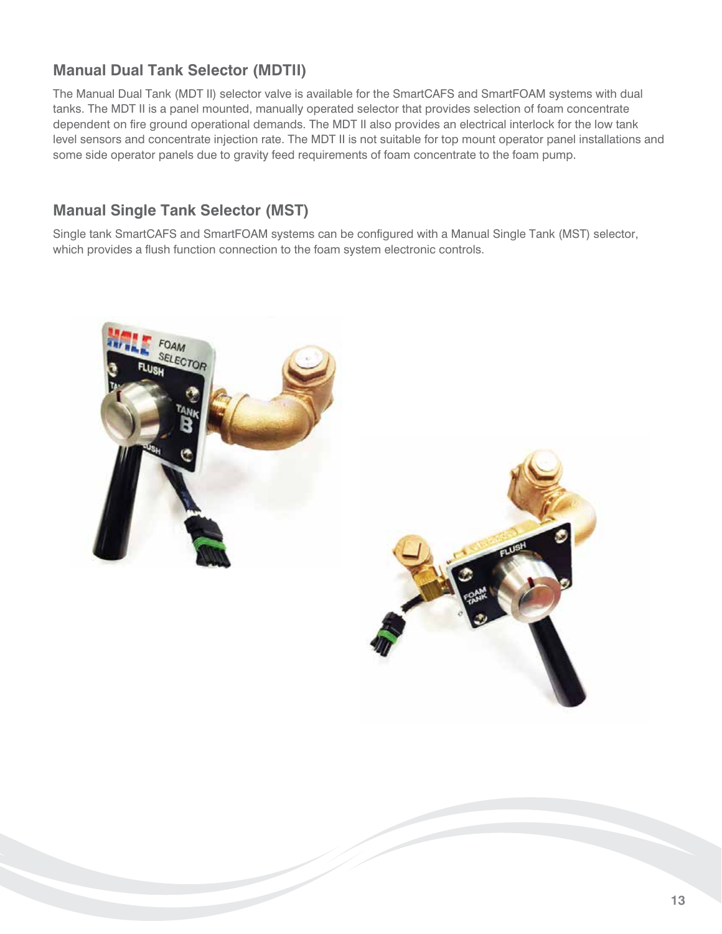## **Manual Dual Tank Selector (MDTII)**

The Manual Dual Tank (MDT II) selector valve is available for the SmartCAFS and SmartFOAM systems with dual tanks. The MDT II is a panel mounted, manually operated selector that provides selection of foam concentrate dependent on fire ground operational demands. The MDT II also provides an electrical interlock for the low tank level sensors and concentrate injection rate. The MDT II is not suitable for top mount operator panel installations and some side operator panels due to gravity feed requirements of foam concentrate to the foam pump.

### **Manual Single Tank Selector (MST)**

Single tank SmartCAFS and SmartFOAM systems can be configured with a Manual Single Tank (MST) selector, which provides a flush function connection to the foam system electronic controls.



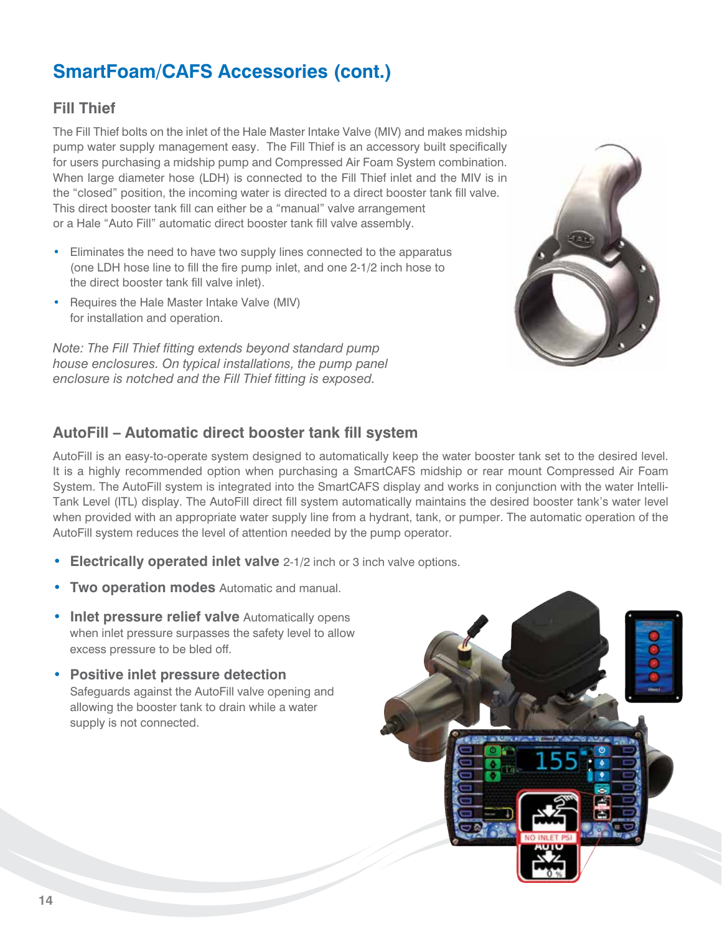## **SmartFoam/CAFS Accessories (cont.)**

#### **Fill Thief**

The Fill Thief bolts on the inlet of the Hale Master Intake Valve (MIV) and makes midship pump water supply management easy. The Fill Thief is an accessory built specifically for users purchasing a midship pump and Compressed Air Foam System combination. When large diameter hose (LDH) is connected to the Fill Thief inlet and the MIV is in the "closed" position, the incoming water is directed to a direct booster tank fill valve. This direct booster tank fill can either be a "manual" valve arrangement or a Hale "Auto Fill" automatic direct booster tank fill valve assembly.

- Eliminates the need to have two supply lines connected to the apparatus (one LDH hose line to fill the fire pump inlet, and one 2-1/2 inch hose to the direct booster tank fill valve inlet).
- Requires the Hale Master Intake Valve (MIV) for installation and operation.

*Note: The Fill Thief fitting extends beyond standard pump house enclosures. On typical installations, the pump panel enclosure is notched and the Fill Thief fitting is exposed.*



### **AutoFill – Automatic direct booster tank fill system**

AutoFill is an easy-to-operate system designed to automatically keep the water booster tank set to the desired level. It is a highly recommended option when purchasing a SmartCAFS midship or rear mount Compressed Air Foam System. The AutoFill system is integrated into the SmartCAFS display and works in conjunction with the water Intelli-Tank Level (ITL) display. The AutoFill direct fill system automatically maintains the desired booster tank's water level when provided with an appropriate water supply line from a hydrant, tank, or pumper. The automatic operation of the AutoFill system reduces the level of attention needed by the pump operator.

- **Electrically operated inlet valve** 2-1/2 inch or 3 inch valve options.
- **Two operation modes** Automatic and manual.
- **Inlet pressure relief valve** Automatically opens when inlet pressure surpasses the safety level to allow excess pressure to be bled off.
- **Positive inlet pressure detection** Safeguards against the AutoFill valve opening and allowing the booster tank to drain while a water supply is not connected.

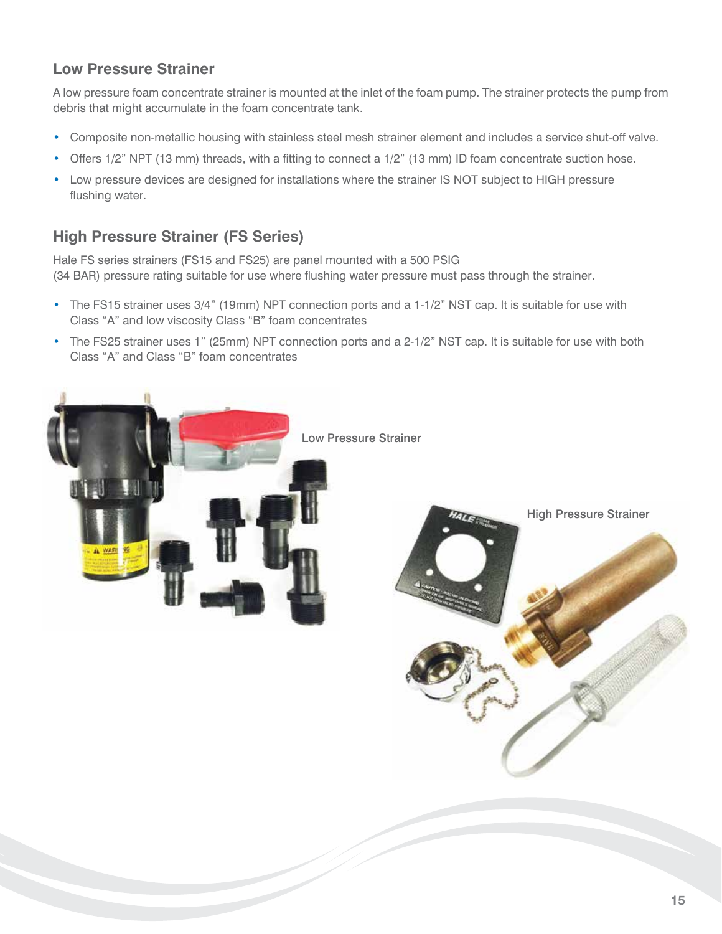### **Low Pressure Strainer**

A low pressure foam concentrate strainer is mounted at the inlet of the foam pump. The strainer protects the pump from debris that might accumulate in the foam concentrate tank.

- Composite non-metallic housing with stainless steel mesh strainer element and includes a service shut-off valve.
- Offers 1/2" NPT (13 mm) threads, with a fitting to connect a 1/2" (13 mm) ID foam concentrate suction hose.
- Low pressure devices are designed for installations where the strainer IS NOT subject to HIGH pressure flushing water.

### **High Pressure Strainer (FS Series)**

Hale FS series strainers (FS15 and FS25) are panel mounted with a 500 PSIG (34 BAR) pressure rating suitable for use where flushing water pressure must pass through the strainer.

- The FS15 strainer uses 3/4" (19mm) NPT connection ports and a 1-1/2" NST cap. It is suitable for use with Class "A" and low viscosity Class "B" foam concentrates
- The FS25 strainer uses 1" (25mm) NPT connection ports and a 2-1/2" NST cap. It is suitable for use with both Class "A" and Class "B" foam concentrates